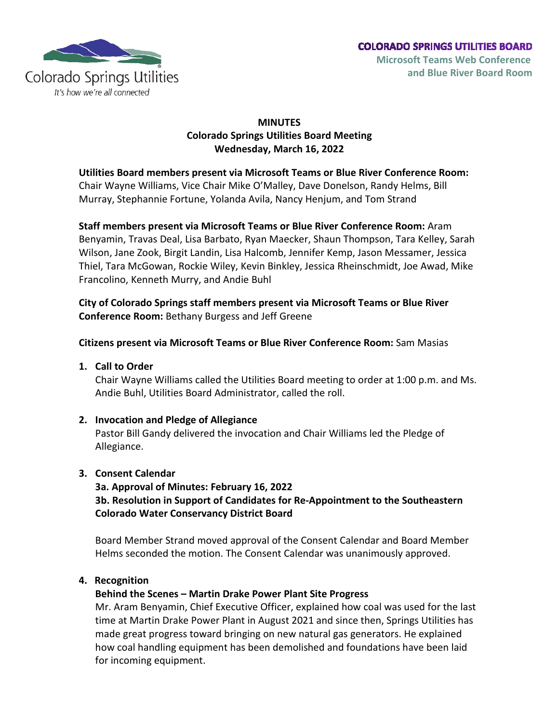

# **MINUTES Colorado Springs Utilities Board Meeting Wednesday, March 16, 2022**

**Utilities Board members present via Microsoft Teams or Blue River Conference Room:** Chair Wayne Williams, Vice Chair Mike O'Malley, Dave Donelson, Randy Helms, Bill Murray, Stephannie Fortune, Yolanda Avila, Nancy Henjum, and Tom Strand

**Staff members present via Microsoft Teams or Blue River Conference Room:** Aram Benyamin, Travas Deal, Lisa Barbato, Ryan Maecker, Shaun Thompson, Tara Kelley, Sarah Wilson, Jane Zook, Birgit Landin, Lisa Halcomb, Jennifer Kemp, Jason Messamer, Jessica Thiel, Tara McGowan, Rockie Wiley, Kevin Binkley, Jessica Rheinschmidt, Joe Awad, Mike Francolino, Kenneth Murry, and Andie Buhl

**City of Colorado Springs staff members present via Microsoft Teams or Blue River Conference Room:** Bethany Burgess and Jeff Greene

# **Citizens present via Microsoft Teams or Blue River Conference Room:** Sam Masias

**1. Call to Order**

Chair Wayne Williams called the Utilities Board meeting to order at 1:00 p.m. and Ms. Andie Buhl, Utilities Board Administrator, called the roll.

# **2. Invocation and Pledge of Allegiance**

Pastor Bill Gandy delivered the invocation and Chair Williams led the Pledge of Allegiance.

#### **3. Consent Calendar**

**3a. Approval of Minutes: February 16, 2022 3b. Resolution in Support of Candidates for Re-Appointment to the Southeastern Colorado Water Conservancy District Board**

Board Member Strand moved approval of the Consent Calendar and Board Member Helms seconded the motion. The Consent Calendar was unanimously approved.

# **4. Recognition**

# **Behind the Scenes – Martin Drake Power Plant Site Progress**

Mr. Aram Benyamin, Chief Executive Officer, explained how coal was used for the last time at Martin Drake Power Plant in August 2021 and since then, Springs Utilities has made great progress toward bringing on new natural gas generators. He explained how coal handling equipment has been demolished and foundations have been laid for incoming equipment.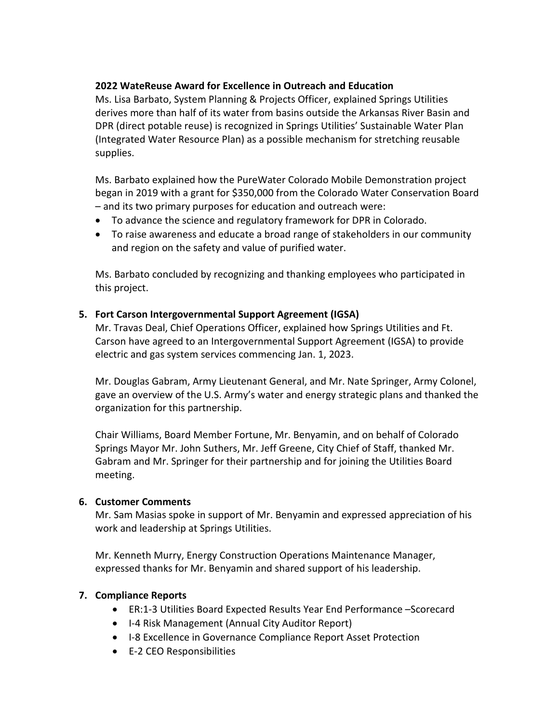## **2022 WateReuse Award for Excellence in Outreach and Education**

Ms. Lisa Barbato, System Planning & Projects Officer, explained Springs Utilities derives more than half of its water from basins outside the Arkansas River Basin and DPR (direct potable reuse) is recognized in Springs Utilities' Sustainable Water Plan (Integrated Water Resource Plan) as a possible mechanism for stretching reusable supplies.

Ms. Barbato explained how the PureWater Colorado Mobile Demonstration project began in 2019 with a grant for \$350,000 from the Colorado Water Conservation Board – and its two primary purposes for education and outreach were:

- To advance the science and regulatory framework for DPR in Colorado.
- To raise awareness and educate a broad range of stakeholders in our community and region on the safety and value of purified water.

Ms. Barbato concluded by recognizing and thanking employees who participated in this project.

## **5. Fort Carson Intergovernmental Support Agreement (IGSA)**

Mr. Travas Deal, Chief Operations Officer, explained how Springs Utilities and Ft. Carson have agreed to an Intergovernmental Support Agreement (IGSA) to provide electric and gas system services commencing Jan. 1, 2023.

Mr. Douglas Gabram, Army Lieutenant General, and Mr. Nate Springer, Army Colonel, gave an overview of the U.S. Army's water and energy strategic plans and thanked the organization for this partnership.

Chair Williams, Board Member Fortune, Mr. Benyamin, and on behalf of Colorado Springs Mayor Mr. John Suthers, Mr. Jeff Greene, City Chief of Staff, thanked Mr. Gabram and Mr. Springer for their partnership and for joining the Utilities Board meeting.

#### **6. Customer Comments**

Mr. Sam Masias spoke in support of Mr. Benyamin and expressed appreciation of his work and leadership at Springs Utilities.

Mr. Kenneth Murry, Energy Construction Operations Maintenance Manager, expressed thanks for Mr. Benyamin and shared support of his leadership.

#### **7. Compliance Reports**

- ER:1-3 Utilities Board Expected Results Year End Performance –Scorecard
- I-4 Risk Management (Annual City Auditor Report)
- I-8 Excellence in Governance Compliance Report Asset Protection
- E-2 CEO Responsibilities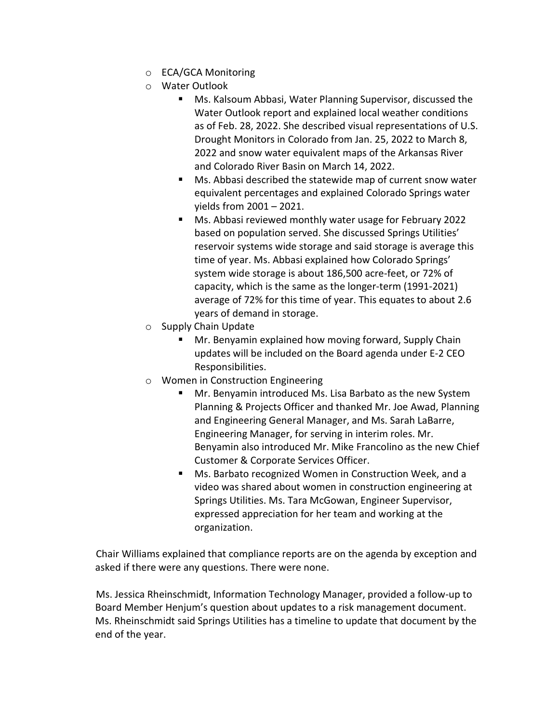- o ECA/GCA Monitoring
- o Water Outlook
	- Ms. Kalsoum Abbasi, Water Planning Supervisor, discussed the Water Outlook report and explained local weather conditions as of Feb. 28, 2022. She described visual representations of U.S. Drought Monitors in Colorado from Jan. 25, 2022 to March 8, 2022 and snow water equivalent maps of the Arkansas River and Colorado River Basin on March 14, 2022.
	- Ms. Abbasi described the statewide map of current snow water equivalent percentages and explained Colorado Springs water yields from 2001 – 2021.
	- Ms. Abbasi reviewed monthly water usage for February 2022 based on population served. She discussed Springs Utilities' reservoir systems wide storage and said storage is average this time of year. Ms. Abbasi explained how Colorado Springs' system wide storage is about 186,500 acre-feet, or 72% of capacity, which is the same as the longer-term (1991-2021) average of 72% for this time of year. This equates to about 2.6 years of demand in storage.
- o Supply Chain Update
	- Mr. Benyamin explained how moving forward, Supply Chain updates will be included on the Board agenda under E-2 CEO Responsibilities.
- o Women in Construction Engineering
	- Mr. Benyamin introduced Ms. Lisa Barbato as the new System Planning & Projects Officer and thanked Mr. Joe Awad, Planning and Engineering General Manager, and Ms. Sarah LaBarre, Engineering Manager, for serving in interim roles. Mr. Benyamin also introduced Mr. Mike Francolino as the new Chief Customer & Corporate Services Officer.
	- Ms. Barbato recognized Women in Construction Week, and a video was shared about women in construction engineering at Springs Utilities. Ms. Tara McGowan, Engineer Supervisor, expressed appreciation for her team and working at the organization.

Chair Williams explained that compliance reports are on the agenda by exception and asked if there were any questions. There were none.

Ms. Jessica Rheinschmidt, Information Technology Manager, provided a follow-up to Board Member Henjum's question about updates to a risk management document. Ms. Rheinschmidt said Springs Utilities has a timeline to update that document by the end of the year.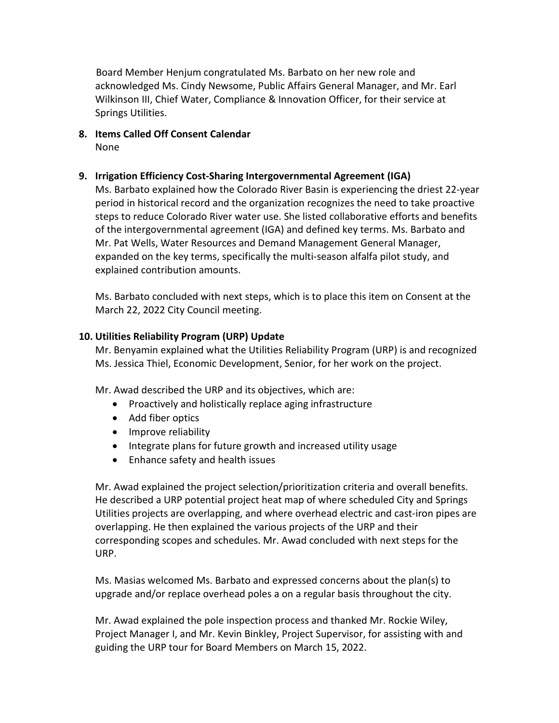Board Member Henjum congratulated Ms. Barbato on her new role and acknowledged Ms. Cindy Newsome, Public Affairs General Manager, and Mr. Earl Wilkinson III, Chief Water, Compliance & Innovation Officer, for their service at Springs Utilities.

**8. Items Called Off Consent Calendar** None

#### **9. Irrigation Efficiency Cost-Sharing Intergovernmental Agreement (IGA)**

Ms. Barbato explained how the Colorado River Basin is experiencing the driest 22-year period in historical record and the organization recognizes the need to take proactive steps to reduce Colorado River water use. She listed collaborative efforts and benefits of the intergovernmental agreement (IGA) and defined key terms. Ms. Barbato and Mr. Pat Wells, Water Resources and Demand Management General Manager, expanded on the key terms, specifically the multi-season alfalfa pilot study, and explained contribution amounts.

Ms. Barbato concluded with next steps, which is to place this item on Consent at the March 22, 2022 City Council meeting.

#### **10. Utilities Reliability Program (URP) Update**

Mr. Benyamin explained what the Utilities Reliability Program (URP) is and recognized Ms. Jessica Thiel, Economic Development, Senior, for her work on the project.

Mr. Awad described the URP and its objectives, which are:

- Proactively and holistically replace aging infrastructure
- Add fiber optics
- Improve reliability
- Integrate plans for future growth and increased utility usage
- Enhance safety and health issues

Mr. Awad explained the project selection/prioritization criteria and overall benefits. He described a URP potential project heat map of where scheduled City and Springs Utilities projects are overlapping, and where overhead electric and cast-iron pipes are overlapping. He then explained the various projects of the URP and their corresponding scopes and schedules. Mr. Awad concluded with next steps for the URP.

Ms. Masias welcomed Ms. Barbato and expressed concerns about the plan(s) to upgrade and/or replace overhead poles a on a regular basis throughout the city.

Mr. Awad explained the pole inspection process and thanked Mr. Rockie Wiley, Project Manager I, and Mr. Kevin Binkley, Project Supervisor, for assisting with and guiding the URP tour for Board Members on March 15, 2022.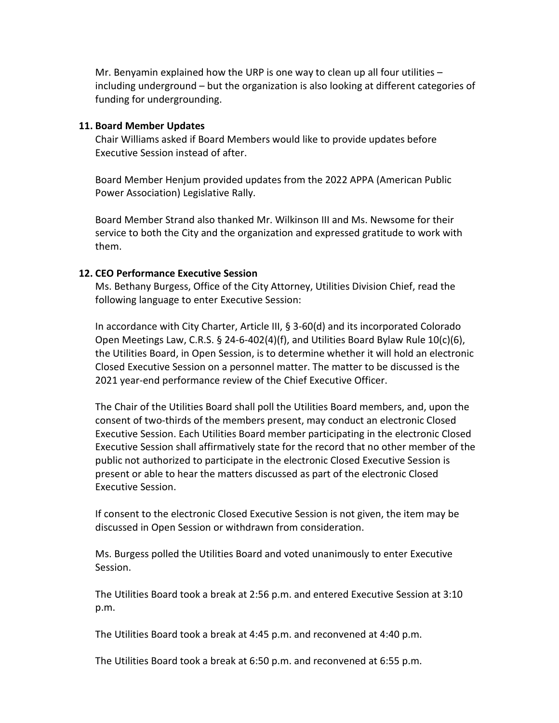Mr. Benyamin explained how the URP is one way to clean up all four utilities  $$ including underground – but the organization is also looking at different categories of funding for undergrounding.

#### **11. Board Member Updates**

Chair Williams asked if Board Members would like to provide updates before Executive Session instead of after.

Board Member Henjum provided updates from the 2022 APPA (American Public Power Association) Legislative Rally.

Board Member Strand also thanked Mr. Wilkinson III and Ms. Newsome for their service to both the City and the organization and expressed gratitude to work with them.

#### **12. CEO Performance Executive Session**

Ms. Bethany Burgess, Office of the City Attorney, Utilities Division Chief, read the following language to enter Executive Session:

In accordance with City Charter, Article III, § 3-60(d) and its incorporated Colorado Open Meetings Law, C.R.S.  $\S$  24-6-402(4)(f), and Utilities Board Bylaw Rule 10(c)(6), the Utilities Board, in Open Session, is to determine whether it will hold an electronic Closed Executive Session on a personnel matter. The matter to be discussed is the 2021 year-end performance review of the Chief Executive Officer.

The Chair of the Utilities Board shall poll the Utilities Board members, and, upon the consent of two-thirds of the members present, may conduct an electronic Closed Executive Session. Each Utilities Board member participating in the electronic Closed Executive Session shall affirmatively state for the record that no other member of the public not authorized to participate in the electronic Closed Executive Session is present or able to hear the matters discussed as part of the electronic Closed Executive Session.

If consent to the electronic Closed Executive Session is not given, the item may be discussed in Open Session or withdrawn from consideration.

Ms. Burgess polled the Utilities Board and voted unanimously to enter Executive Session.

The Utilities Board took a break at 2:56 p.m. and entered Executive Session at 3:10 p.m.

The Utilities Board took a break at 4:45 p.m. and reconvened at 4:40 p.m.

The Utilities Board took a break at 6:50 p.m. and reconvened at 6:55 p.m.